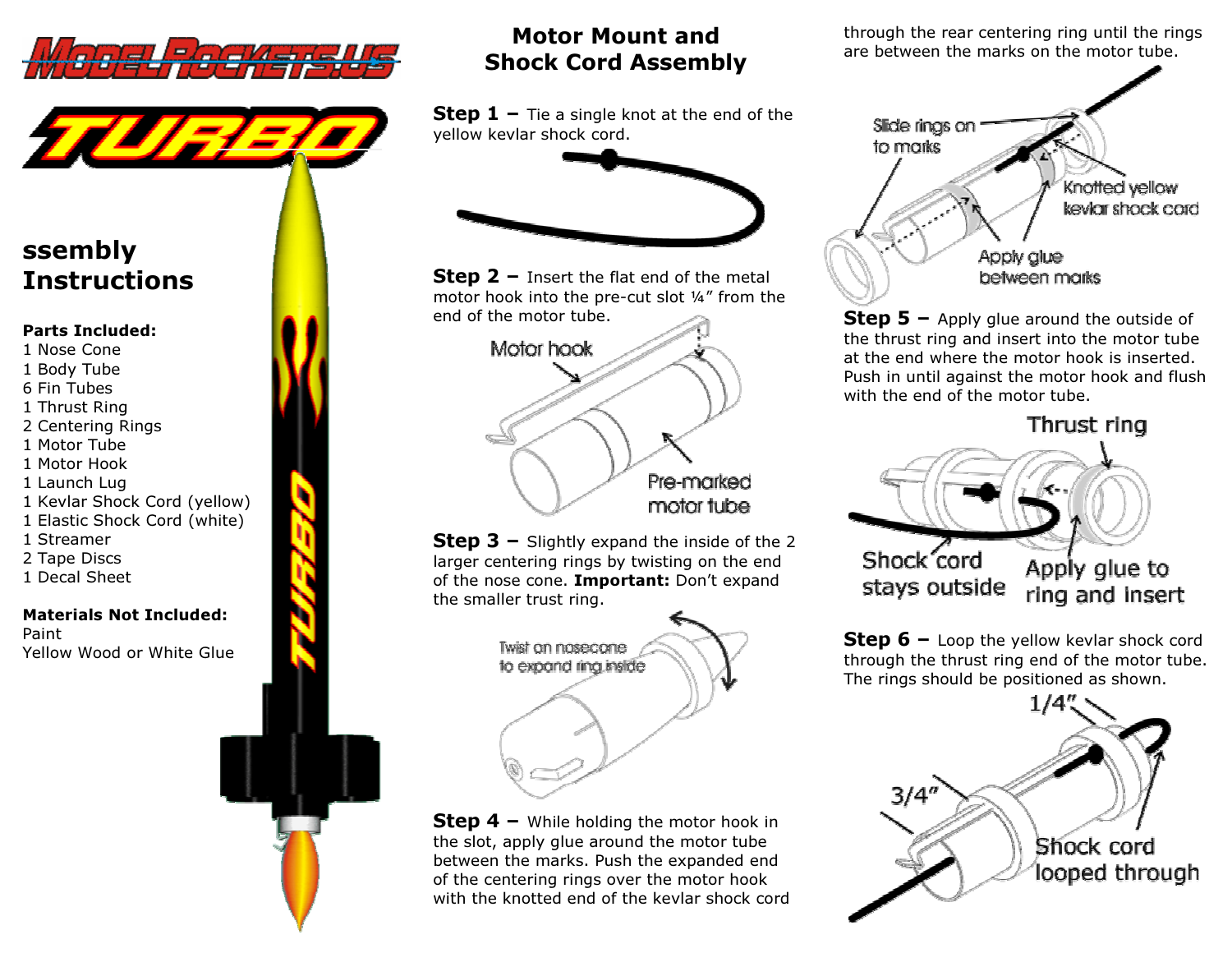



## ssembly Instructions

#### Parts Included:

- 1 Nose Cone
- 1 Body Tube
- 6 Fin Tubes
- 1 Thrust Ring
- 2 Centering Rings
- 1 Motor Tube
- 1 Motor Hook
- 1 Launch Lug
- 1 Kevlar Shock Cord (yellow)
- 1 Elastic Shock Cord (white)
- 1 Streamer
- 2 Tape Discs
- 1 Decal Sheet

#### Materials Not Included: Paint Yellow Wood or White Glue



### Motor Mount and Shock Cord Assembly

**Step 1 –** Tie a single knot at the end of the  $\frac{1}{2}$ yellow kevlar shock cord.



**Step 2 –** Insert the flat end of the metal<br>mater hack into the are sut elat 1/" from the motor hook into the pre-cut slot ¼" from the end of the motor tube.



**Step 3 –** Slightly expand the inside of the 2 larger centering rings by twisting on the end of the nose cone. Important: Don't expand the smaller trust ring.



**Step 4 –** While holding the motor hook in  $\frac{1}{2}$ the slot, apply glue around the motor tube between the marks. Push the expanded end of the centering rings over the motor hook with the knotted end of the kevlar shock cord through the rear centering ring until the rings are between the marks on the motor tube.



**Step 5 –** Apply glue around the outside of  $\frac{1}{2}$ the thrust ring and insert into the motor tube at the end where the motor hook is inserted. Push in until against the motor hook and flush with the end of the motor tube.

Thrust ring



**Step 6 –** Loop the yellow kevlar shock cord through the thrust ring and of the mater tube. through the thrust ring end of the motor tube. The rings should be positioned as shown.

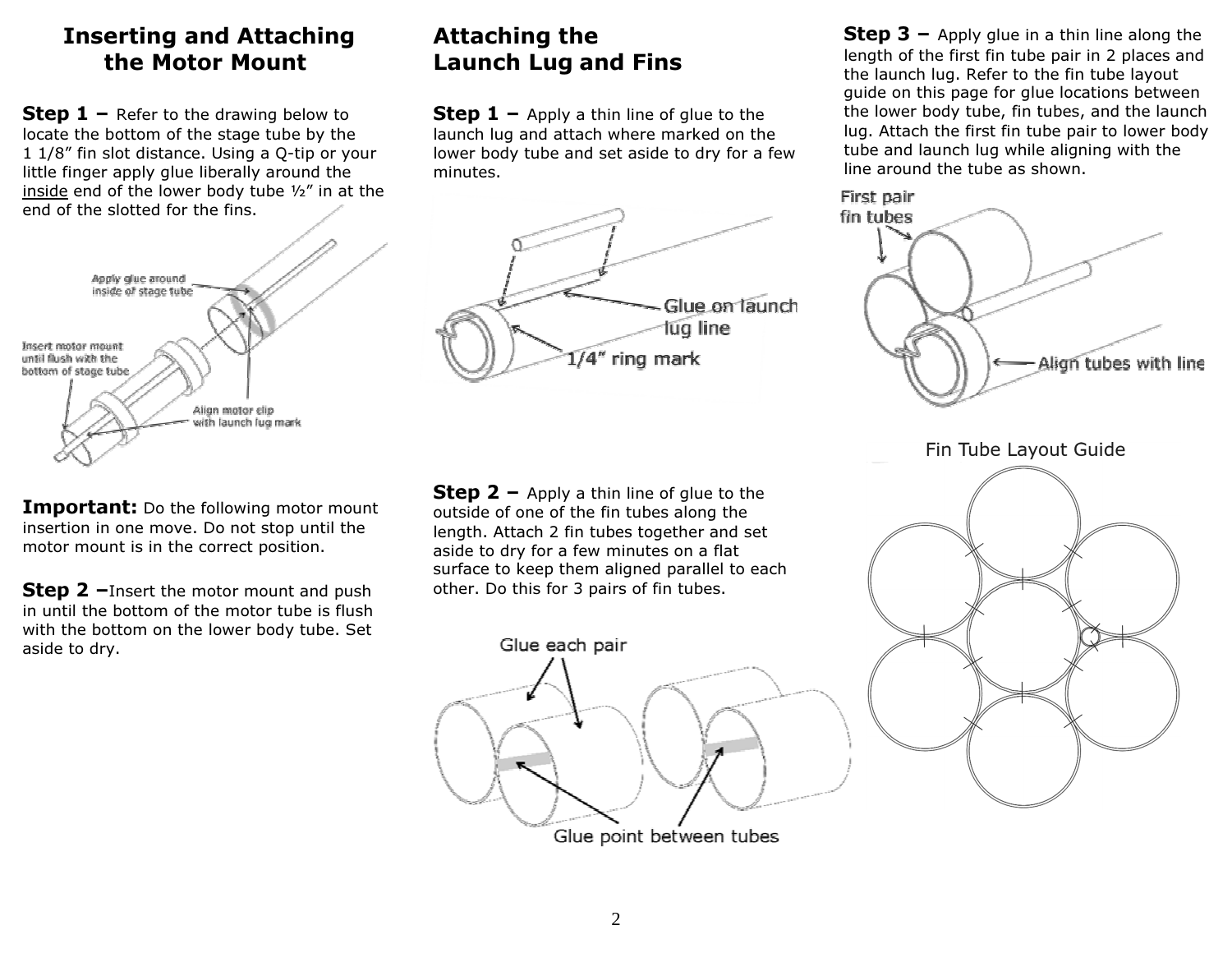### Inserting and Attaching the Motor Mount

**Step 1 –** Refer to the drawing below to locate the best than  $\frac{1}{2}$ locate the bottom of the stage tube by the 1 1/8" fin slot distance. Using a Q-tip or your little finger apply glue liberally around the inside end of the lower body tube 1/2" in at the end of the slotted for the fins.



**Important:** Do the following motor mount insertion in one move. Do not stop until the motor mount is in the correct position.

**Step 2** - Insert the motor mount and push in until the bottom of the motor tube is flush with the bottom on the lower body tube. Set aside to dry.

# Attaching the Launch Lug and Fins

**Step 1** – Apply a thin line of glue to the  $\frac{1}{2}$ launch lug and attach where marked on the lower body tube and set aside to dry for a few minutes.



**Step 2** – Apply a thin line of glue to the setting  $\frac{1}{2}$  of and of the finitudes along the outside of one of the fin tubes along the length. Attach 2 fin tubes together and set aside to dry for a few minutes on a flat surface to keep them aligned parallel to each other. Do this for 3 pairs of fin tubes.



Glue point between tubes

**Step 3 –** Apply glue in a thin line along the longth of the first finitude pair in 2 places and length of the first fin tube pair in 2 places and the launch lug. Refer to the fin tube layout guide on this page for glue locations between the lower body tube, fin tubes, and the launch lug. Attach the first fin tube pair to lower body tube and launch lug while aligning with the line around the tube as shown.



Fin Tube Layout Guide

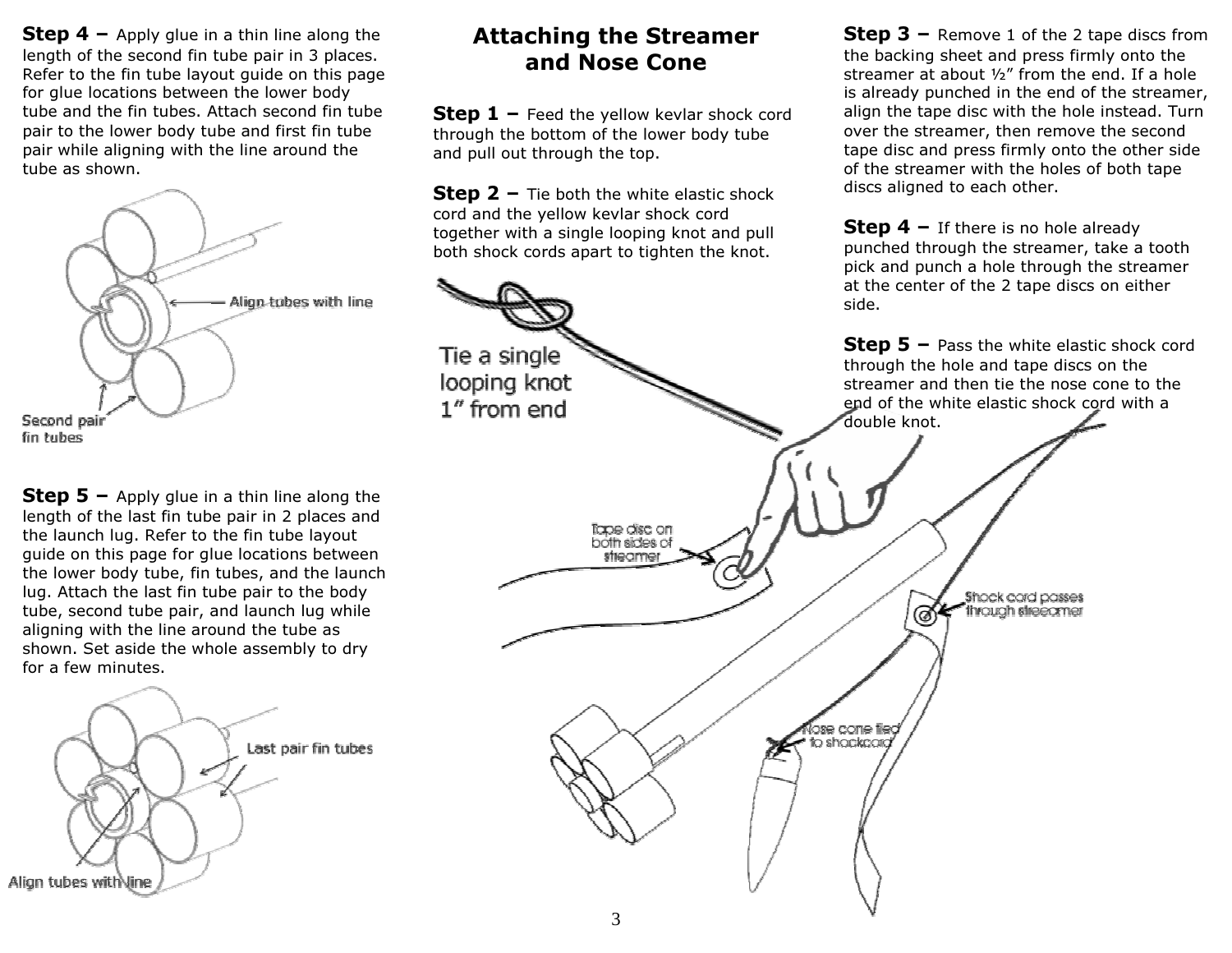**Step 4 –** Apply glue in a thin line along the longth of the cocond finitude pair in 2 places. length of the second fin tube pair in 3 places. Refer to the fin tube layout guide on this page for glue locations between the lower body tube and the fin tubes. Attach second fin tube pair to the lower body tube and first fin tube pair while aligning with the line around the tube as shown.



**Step 5 –** Apply glue in a thin line along the langle of the last finiture as a process and length of the last fin tube pair in 2 places and the launch lug. Refer to the fin tube layout guide on this page for glue locations between the lower body tube, fin tubes, and the launch lug. Attach the last fin tube pair to the body tube, second tube pair, and launch lug while aligning with the line around the tube as shown. Set aside the whole assembly to dry for a few minutes.



### Attaching the Streamer and Nose Cone

**Step 1 –** Feed the yellow kevlar shock cord<br>through the bettern of the lower hody tube through the bottom of the lower body tube and pull out through the top.

**Step 2 –** Tie both the white elastic shock  $\cos t$  and the valley leader shock  $\cos t$ cord and the yellow kevlar shock cord together with a single looping knot and pull both shock cords apart to tighten the knot.

Tie a single

**Step 3 –** Remove 1 of the 2 tape discs from the hading check and press firmly onto the the backing sheet and press firmly onto the streamer at about ½" from the end. If a hole is already punched in the end of the streamer, align the tape disc with the hole instead. Turn over the streamer, then remove the second tape disc and press firmly onto the other side of the streamer with the holes of both tape discs aligned to each other.

**Step 4 –** If there is no hole already punched through the streamer, take a tooth pick and punch a hole through the streamer at the center of the 2 tape discs on either side.

**Step 5** – Pass the white elastic shock cord through the hole and tape discs on the streamer and then tie the nose cone to the end of the white elastic shock cord with a double knot.